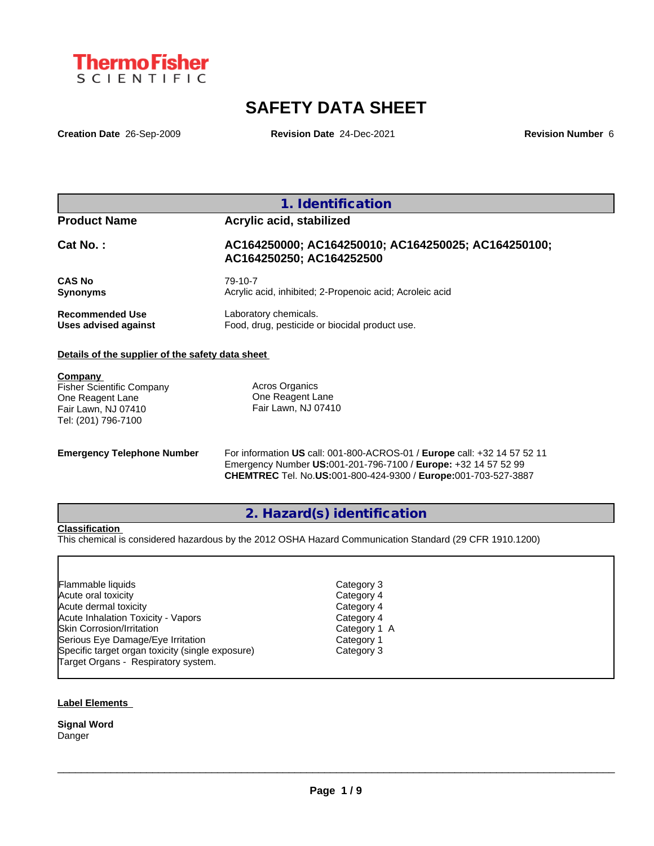

# **SAFETY DATA SHEET**

**Creation Date** 26-Sep-2009 **Revision Date** 24-Dec-2021 **Revision Number** 6

| <b>Product Name</b>    | Acrylic acid, stabilized                                                        |
|------------------------|---------------------------------------------------------------------------------|
| Cat No.:               | AC164250000; AC164250010; AC164250025; AC164250100;<br>AC164250250; AC164252500 |
| <b>CAS No</b>          | 79-10-7                                                                         |
| <b>Synonyms</b>        | Acrylic acid, inhibited; 2-Propenoic acid; Acroleic acid                        |
| <b>Recommended Use</b> | Laboratory chemicals.                                                           |
| Uses advised against   | Food, drug, pesticide or biocidal product use.                                  |

**Company**  Fisher Scientific Company One Reagent Lane Fair Lawn, NJ 07410 Tel: (201) 796-7100

Acros Organics One Reagent Lane Fair Lawn, NJ 07410

**Emergency Telephone Number** For information **US** call: 001-800-ACROS-01 / **Europe** call: +32 14 57 52 11 Emergency Number **US:**001-201-796-7100 / **Europe:** +32 14 57 52 99 **CHEMTREC** Tel. No.**US:**001-800-424-9300 / **Europe:**001-703-527-3887

**2. Hazard(s) identification**

# **Classification**

This chemical is considered hazardous by the 2012 OSHA Hazard Communication Standard (29 CFR 1910.1200)

| Flammable liquids                                |
|--------------------------------------------------|
| Acute oral toxicity                              |
| Acute dermal toxicity                            |
| <b>Acute Inhalation Toxicity - Vapors</b>        |
| <b>Skin Corrosion/Irritation</b>                 |
| Serious Eye Damage/Eye Irritation                |
| Specific target organ toxicity (single exposure) |
| Target Organs - Respiratory system.              |
|                                                  |

Category 4 Category 4 Category 4 Category 1 A Category 1 Category 3 Category 3

 $\_$  ,  $\_$  ,  $\_$  ,  $\_$  ,  $\_$  ,  $\_$  ,  $\_$  ,  $\_$  ,  $\_$  ,  $\_$  ,  $\_$  ,  $\_$  ,  $\_$  ,  $\_$  ,  $\_$  ,  $\_$  ,  $\_$  ,  $\_$  ,  $\_$  ,  $\_$  ,  $\_$  ,  $\_$  ,  $\_$  ,  $\_$  ,  $\_$  ,  $\_$  ,  $\_$  ,  $\_$  ,  $\_$  ,  $\_$  ,  $\_$  ,  $\_$  ,  $\_$  ,  $\_$  ,  $\_$  ,  $\_$  ,  $\_$  ,

#### **Label Elements**

**Signal Word** Danger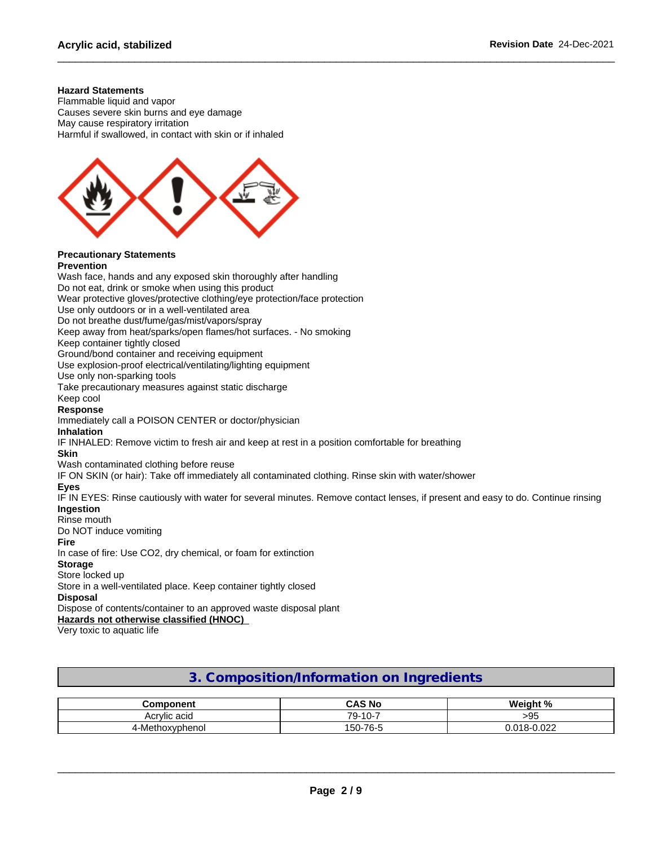#### **Hazard Statements**

Flammable liquid and vapor Causes severe skin burns and eye damage May cause respiratory irritation Harmful if swallowed, in contact with skin or if inhaled



#### **Precautionary Statements Prevention**

Wash face, hands and any exposed skin thoroughly after handling Do not eat, drink or smoke when using this product Wear protective gloves/protective clothing/eye protection/face protection Use only outdoors or in a well-ventilated area Do not breathe dust/fume/gas/mist/vapors/spray Keep away from heat/sparks/open flames/hot surfaces. - No smoking Keep container tightly closed Ground/bond container and receiving equipment Use explosion-proof electrical/ventilating/lighting equipment Use only non-sparking tools Take precautionary measures against static discharge Keep cool **Response** Immediately call a POISON CENTER or doctor/physician **Inhalation** IF INHALED: Remove victim to fresh air and keep at rest in a position comfortable for breathing **Skin** Wash contaminated clothing before reuse IF ON SKIN (or hair): Take off immediately all contaminated clothing. Rinse skin with water/shower **Eyes** IF IN EYES: Rinse cautiously with water for several minutes. Remove contact lenses, if present and easy to do. Continue rinsing **Ingestion** Rinse mouth Do NOT induce vomiting **Fire** In case of fire: Use CO2, dry chemical, or foam for extinction **Storage** Store locked up Store in a well-ventilated place. Keep container tightly closed **Disposal** Dispose of contents/container to an approved waste disposal plant **Hazards not otherwise classified (HNOC)**

Very toxic to aquatic life

# **3. Composition/Information on Ingredients**

| nmnnnent<br>⋯            | ີ AS No                                                  | $\mathbf{a}$<br><br><b>WAID</b> |
|--------------------------|----------------------------------------------------------|---------------------------------|
| Acrylic act<br>au<br>ושר | 79-<br>$\sim$<br>$\overline{\phantom{0}}$<br>-10-<br>. ט | ~-<br>-ur<br>- 22               |
| `∩xvphenoï<br>4-IV       | $1-76$ - $F$<br>150<br>. .                               | 000<br>ъ.<br>v.vzz              |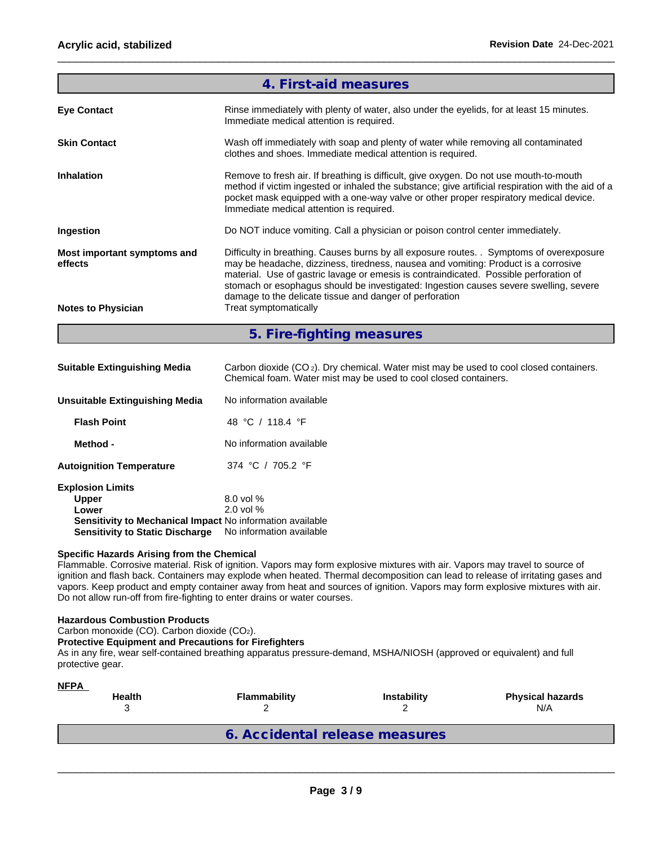|                                        | 4. First-aid measures                                                                                                                                                                                                                                                                                                                                                                                                       |  |  |
|----------------------------------------|-----------------------------------------------------------------------------------------------------------------------------------------------------------------------------------------------------------------------------------------------------------------------------------------------------------------------------------------------------------------------------------------------------------------------------|--|--|
| <b>Eye Contact</b>                     | Rinse immediately with plenty of water, also under the eyelids, for at least 15 minutes.<br>Immediate medical attention is required.                                                                                                                                                                                                                                                                                        |  |  |
| <b>Skin Contact</b>                    | Wash off immediately with soap and plenty of water while removing all contaminated<br>clothes and shoes. Immediate medical attention is required.                                                                                                                                                                                                                                                                           |  |  |
| <b>Inhalation</b>                      | Remove to fresh air. If breathing is difficult, give oxygen. Do not use mouth-to-mouth<br>method if victim ingested or inhaled the substance; give artificial respiration with the aid of a<br>pocket mask equipped with a one-way valve or other proper respiratory medical device.<br>Immediate medical attention is required.                                                                                            |  |  |
| Ingestion                              | Do NOT induce vomiting. Call a physician or poison control center immediately.                                                                                                                                                                                                                                                                                                                                              |  |  |
| Most important symptoms and<br>effects | Difficulty in breathing. Causes burns by all exposure routes. . Symptoms of overexposure<br>may be headache, dizziness, tiredness, nausea and vomiting: Product is a corrosive<br>material. Use of gastric lavage or emesis is contraindicated. Possible perforation of<br>stomach or esophagus should be investigated: Ingestion causes severe swelling, severe<br>damage to the delicate tissue and danger of perforation |  |  |
| <b>Notes to Physician</b>              | Treat symptomatically                                                                                                                                                                                                                                                                                                                                                                                                       |  |  |
|                                        | 5. Fire-fighting measures                                                                                                                                                                                                                                                                                                                                                                                                   |  |  |

**Suitable Extinguishing Media** Carbon dioxide (CO 2). Dry chemical. Water mist may be used to cool closed containers. Chemical foam. Water mist may be used to cool closed containers.

| Unsuitable Extinguishing Media                            | No information available |
|-----------------------------------------------------------|--------------------------|
| <b>Flash Point</b>                                        | 48 °C / 118.4 °F         |
| Method -                                                  | No information available |
| <b>Autoignition Temperature</b>                           | 374 °C / 705.2 °F        |
| <b>Explosion Limits</b>                                   |                          |
| <b>Upper</b>                                              | $8.0$ vol %              |
| Lower                                                     | $2.0$ vol $%$            |
| Sensitivity to Mechanical Impact No information available |                          |
| <b>Sensitivity to Static Discharge</b>                    | No information available |

## **Specific Hazards Arising from the Chemical**

Flammable. Corrosive material. Risk of ignition. Vapors may form explosive mixtures with air. Vapors may travel to source of ignition and flash back. Containers may explode when heated. Thermal decomposition can lead to release of irritating gases and vapors. Keep product and empty container away from heat and sources of ignition. Vapors may form explosive mixtures with air. Do not allow run-off from fire-fighting to enter drains or water courses.

#### **Hazardous Combustion Products**

Carbon monoxide (CO). Carbon dioxide (CO2).

# **Protective Equipment and Precautions for Firefighters**

As in any fire, wear self-contained breathing apparatus pressure-demand, MSHA/NIOSH (approved or equivalent) and full protective gear.

| <b>NFPA</b><br><b>Health</b> | Flammability                   | <b>Instability</b> | <b>Physical hazards</b><br>N/A |
|------------------------------|--------------------------------|--------------------|--------------------------------|
|                              | 6. Accidental release measures |                    |                                |
|                              |                                |                    |                                |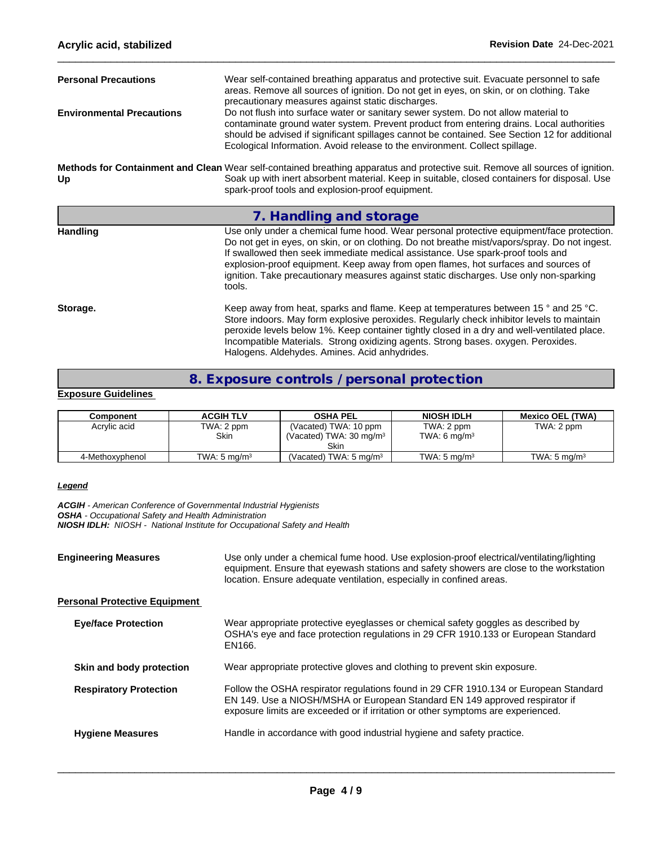| <b>Personal Precautions</b><br>Wear self-contained breathing apparatus and protective suit. Evacuate personnel to safe<br>areas. Remove all sources of ignition. Do not get in eyes, on skin, or on clothing. Take<br>precautionary measures against static discharges. |                                                                                                                                                                                                                                                                                                                                                                                                                                                                       |  |  |  |  |
|-------------------------------------------------------------------------------------------------------------------------------------------------------------------------------------------------------------------------------------------------------------------------|-----------------------------------------------------------------------------------------------------------------------------------------------------------------------------------------------------------------------------------------------------------------------------------------------------------------------------------------------------------------------------------------------------------------------------------------------------------------------|--|--|--|--|
| <b>Environmental Precautions</b>                                                                                                                                                                                                                                        | Do not flush into surface water or sanitary sewer system. Do not allow material to<br>contaminate ground water system. Prevent product from entering drains. Local authorities<br>should be advised if significant spillages cannot be contained. See Section 12 for additional<br>Ecological Information. Avoid release to the environment. Collect spillage.                                                                                                        |  |  |  |  |
| Up                                                                                                                                                                                                                                                                      | Methods for Containment and Clean Wear self-contained breathing apparatus and protective suit. Remove all sources of ignition.<br>Soak up with inert absorbent material. Keep in suitable, closed containers for disposal. Use<br>spark-proof tools and explosion-proof equipment.                                                                                                                                                                                    |  |  |  |  |
|                                                                                                                                                                                                                                                                         | 7. Handling and storage                                                                                                                                                                                                                                                                                                                                                                                                                                               |  |  |  |  |
| <b>Handling</b>                                                                                                                                                                                                                                                         | Use only under a chemical fume hood. Wear personal protective equipment/face protection.<br>Do not get in eyes, on skin, or on clothing. Do not breathe mist/vapors/spray. Do not ingest.<br>If swallowed then seek immediate medical assistance. Use spark-proof tools and<br>explosion-proof equipment. Keep away from open flames, hot surfaces and sources of<br>ignition. Take precautionary measures against static discharges. Use only non-sparking<br>tools. |  |  |  |  |
| Storage.                                                                                                                                                                                                                                                                | Keep away from heat, sparks and flame. Keep at temperatures between 15 ° and 25 °C.<br>Store indoors. May form explosive peroxides. Regularly check inhibitor levels to maintain<br>peroxide levels below 1%. Keep container tightly closed in a dry and well-ventilated place.<br>Incompatible Materials. Strong oxidizing agents. Strong bases. oxygen. Peroxides.                                                                                                  |  |  |  |  |

# **8. Exposure controls / personal protection**

# **Exposure Guidelines**

| Component       | <b>ACGIH TLV</b>        | <b>OSHA PEL</b>                                                     | <b>NIOSH IDLH</b>            | <b>Mexico OEL (TWA)</b> |
|-----------------|-------------------------|---------------------------------------------------------------------|------------------------------|-------------------------|
| Acrylic acid    | TWA: 2 ppm<br>Skin      | (Vacated) TWA: 10 ppm<br>(Vacated) TWA: $30 \text{ ma/m}^3$<br>Skin | TWA: 2 ppm<br>TWA: 6 $mq/m3$ | TWA: 2 ppm              |
| 4-Methoxyphenol | TWA: $5 \text{ ma/m}^3$ | (Vacated) TWA: 5 mg/m <sup>3</sup>                                  | TWA: $5 \text{ ma/m}^3$      | TWA: 5 $ma/m3$          |

#### *Legend*

*ACGIH - American Conference of Governmental Industrial Hygienists OSHA - Occupational Safety and Health Administration NIOSH IDLH: NIOSH - National Institute for Occupational Safety and Health*

| <b>Engineering Measures</b> |                                      | Use only under a chemical fume hood. Use explosion-proof electrical/ventilating/lighting<br>equipment. Ensure that eyewash stations and safety showers are close to the workstation<br>location. Ensure adequate ventilation, especially in confined areas. |  |
|-----------------------------|--------------------------------------|-------------------------------------------------------------------------------------------------------------------------------------------------------------------------------------------------------------------------------------------------------------|--|
|                             | <b>Personal Protective Equipment</b> |                                                                                                                                                                                                                                                             |  |
|                             | <b>Eye/face Protection</b>           | Wear appropriate protective eyeglasses or chemical safety goggles as described by<br>OSHA's eye and face protection regulations in 29 CFR 1910.133 or European Standard<br>EN166.                                                                           |  |
|                             | Skin and body protection             | Wear appropriate protective gloves and clothing to prevent skin exposure.                                                                                                                                                                                   |  |
|                             | <b>Respiratory Protection</b>        | Follow the OSHA respirator regulations found in 29 CFR 1910.134 or European Standard<br>EN 149. Use a NIOSH/MSHA or European Standard EN 149 approved respirator if<br>exposure limits are exceeded or if irritation or other symptoms are experienced.     |  |
|                             | <b>Hygiene Measures</b>              | Handle in accordance with good industrial hygiene and safety practice.                                                                                                                                                                                      |  |
|                             |                                      |                                                                                                                                                                                                                                                             |  |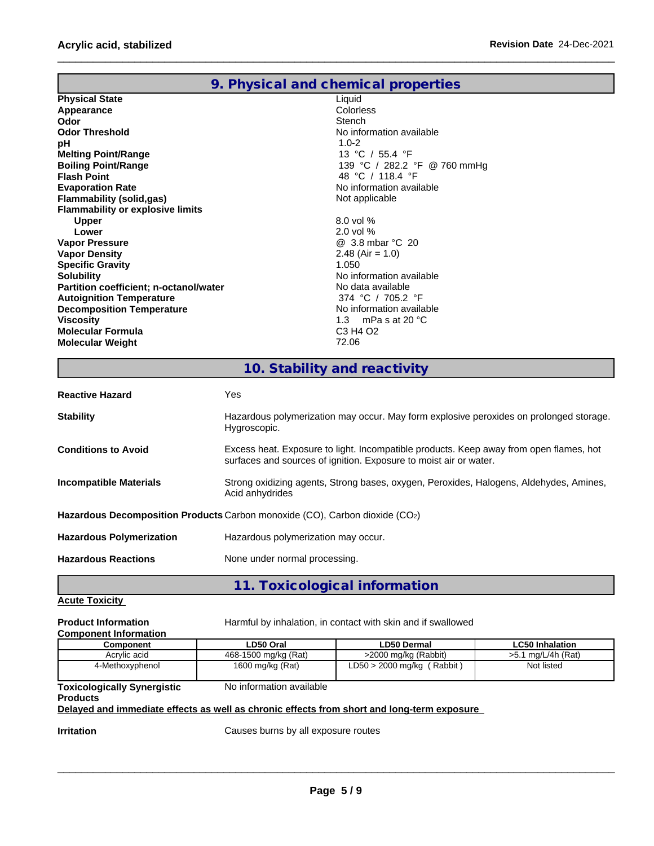|                                         | 9. Physical and chemical properties          |
|-----------------------------------------|----------------------------------------------|
| <b>Physical State</b>                   | Liquid                                       |
| Appearance                              | Colorless                                    |
| Odor                                    | Stench                                       |
| <b>Odor Threshold</b>                   | No information available                     |
| pH                                      | $1.0 - 2$                                    |
| <b>Melting Point/Range</b>              | 13 °C / 55.4 °F                              |
| <b>Boiling Point/Range</b>              | 139 °C / 282.2 °F @ 760 mmHg                 |
| <b>Flash Point</b>                      | 48 °C / 118.4 °F                             |
| <b>Evaporation Rate</b>                 | No information available                     |
| Flammability (solid,gas)                | Not applicable                               |
| <b>Flammability or explosive limits</b> |                                              |
| <b>Upper</b>                            | $8.0$ vol %                                  |
| Lower                                   | $2.0$ vol $%$                                |
| <b>Vapor Pressure</b>                   | @ 3.8 mbar °C 20                             |
| <b>Vapor Density</b>                    | 2.48 (Air = 1.0)                             |
| <b>Specific Gravity</b>                 | 1.050                                        |
| <b>Solubility</b>                       | No information available                     |
| Partition coefficient; n-octanol/water  | No data available                            |
| <b>Autoignition Temperature</b>         | 374 °C / 705.2 °F                            |
| <b>Decomposition Temperature</b>        | No information available                     |
| <b>Viscosity</b>                        | 1.3 mPas at 20 $^{\circ}$ C                  |
| <b>Molecular Formula</b>                | C <sub>3</sub> H <sub>4</sub> O <sub>2</sub> |
| <b>Molecular Weight</b>                 | 72.06                                        |

# **10. Stability and reactivity**

| Hazardous polymerization may occur. May form explosive peroxides on prolonged storage.<br><b>Stability</b><br>Hygroscopic.                                                                |
|-------------------------------------------------------------------------------------------------------------------------------------------------------------------------------------------|
| Excess heat. Exposure to light. Incompatible products. Keep away from open flames, hot<br><b>Conditions to Avoid</b><br>surfaces and sources of ignition. Exposure to moist air or water. |
| Strong oxidizing agents, Strong bases, oxygen, Peroxides, Halogens, Aldehydes, Amines,<br>Incompatible Materials<br>Acid anhydrides                                                       |
| Hazardous Decomposition Products Carbon monoxide (CO), Carbon dioxide (CO2)                                                                                                               |
| Hazardous polymerization may occur.<br><b>Hazardous Polymerization</b>                                                                                                                    |
| <b>Hazardous Reactions</b><br>None under normal processing.                                                                                                                               |

**11. Toxicological information**

# **Acute Toxicity**

| Harmful by inhalation, in contact with skin and if swallowed<br><b>Product Information</b><br><b>Component Information</b> |                      |                              |                        |
|----------------------------------------------------------------------------------------------------------------------------|----------------------|------------------------------|------------------------|
| Component                                                                                                                  | LD50 Oral            | LD50 Dermal                  | <b>LC50 Inhalation</b> |
| Acrylic acid                                                                                                               | 468-1500 mg/kg (Rat) | >2000 mg/kg (Rabbit)         | $>5.1$ mg/L/4h (Rat)   |
| 4-Methoxyphenol                                                                                                            | 1600 mg/kg (Rat)     | $LD50 > 2000$ mg/kg (Rabbit) | Not listed             |

#### **Toxicologically Synergistic** No information available

# **Products**

# **Delayed and immediate effects as well as chronic effects from short and long-term exposure**

**Irritation Intervellet Causes burns by all exposure routes**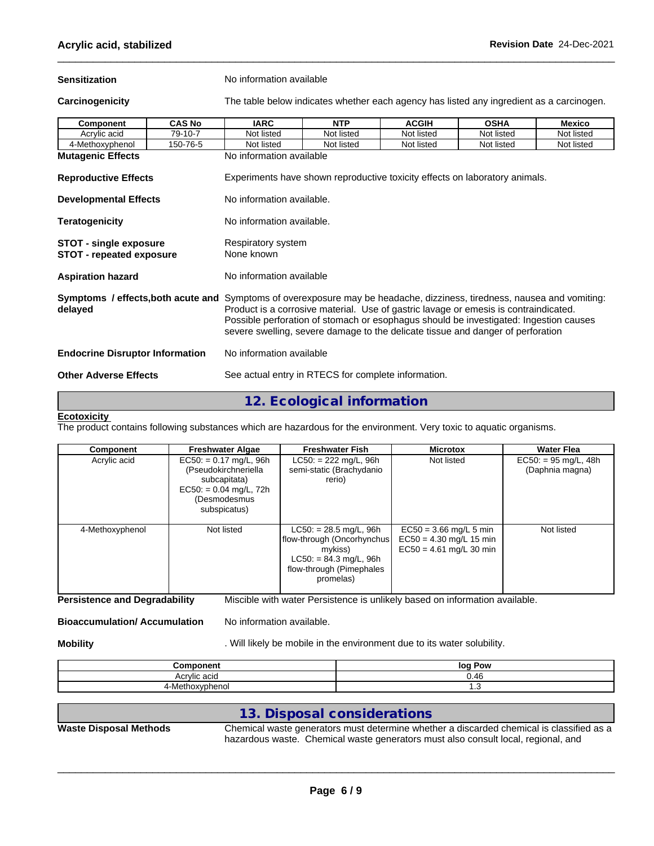| <b>Sensitization</b>                                             |               | No information available                                                                                                                                                                                                                                                                                                                                                                    |                                                     |              |                                                                                          |               |  |  |  |
|------------------------------------------------------------------|---------------|---------------------------------------------------------------------------------------------------------------------------------------------------------------------------------------------------------------------------------------------------------------------------------------------------------------------------------------------------------------------------------------------|-----------------------------------------------------|--------------|------------------------------------------------------------------------------------------|---------------|--|--|--|
| Carcinogenicity                                                  |               |                                                                                                                                                                                                                                                                                                                                                                                             |                                                     |              | The table below indicates whether each agency has listed any ingredient as a carcinogen. |               |  |  |  |
| Component                                                        | <b>CAS No</b> | <b>IARC</b>                                                                                                                                                                                                                                                                                                                                                                                 | <b>NTP</b>                                          | <b>ACGIH</b> | <b>OSHA</b>                                                                              | <b>Mexico</b> |  |  |  |
| Acrylic acid                                                     | 79-10-7       | Not listed                                                                                                                                                                                                                                                                                                                                                                                  | Not listed                                          | Not listed   | Not listed                                                                               | Not listed    |  |  |  |
| 4-Methoxyphenol                                                  | 150-76-5      | Not listed                                                                                                                                                                                                                                                                                                                                                                                  | Not listed                                          | Not listed   | Not listed                                                                               | Not listed    |  |  |  |
| <b>Mutagenic Effects</b>                                         |               | No information available                                                                                                                                                                                                                                                                                                                                                                    |                                                     |              |                                                                                          |               |  |  |  |
| <b>Reproductive Effects</b>                                      |               |                                                                                                                                                                                                                                                                                                                                                                                             |                                                     |              | Experiments have shown reproductive toxicity effects on laboratory animals.              |               |  |  |  |
| <b>Developmental Effects</b>                                     |               | No information available.                                                                                                                                                                                                                                                                                                                                                                   |                                                     |              |                                                                                          |               |  |  |  |
| <b>Teratogenicity</b>                                            |               | No information available.                                                                                                                                                                                                                                                                                                                                                                   |                                                     |              |                                                                                          |               |  |  |  |
| <b>STOT - single exposure</b><br><b>STOT - repeated exposure</b> |               | Respiratory system<br>None known                                                                                                                                                                                                                                                                                                                                                            |                                                     |              |                                                                                          |               |  |  |  |
| <b>Aspiration hazard</b>                                         |               | No information available                                                                                                                                                                                                                                                                                                                                                                    |                                                     |              |                                                                                          |               |  |  |  |
| delayed                                                          |               | Symptoms / effects, both acute and Symptoms of overexposure may be headache, dizziness, tiredness, nausea and vomiting:<br>Product is a corrosive material. Use of gastric lavage or emesis is contraindicated.<br>Possible perforation of stomach or esophagus should be investigated: Ingestion causes<br>severe swelling, severe damage to the delicate tissue and danger of perforation |                                                     |              |                                                                                          |               |  |  |  |
| <b>Endocrine Disruptor Information</b>                           |               | No information available                                                                                                                                                                                                                                                                                                                                                                    |                                                     |              |                                                                                          |               |  |  |  |
| <b>Other Adverse Effects</b>                                     |               |                                                                                                                                                                                                                                                                                                                                                                                             | See actual entry in RTECS for complete information. |              |                                                                                          |               |  |  |  |
|                                                                  |               |                                                                                                                                                                                                                                                                                                                                                                                             |                                                     |              |                                                                                          |               |  |  |  |

# **12. Ecological information**

# **Ecotoxicity**

The product contains following substances which are hazardous for the environment. Very toxic to aquatic organisms.

| Component       | <b>Freshwater Algae</b>                                                                                                      | <b>Freshwater Fish</b>                                                                                                                  | <b>Microtox</b>                                                                    | <b>Water Flea</b>                         |
|-----------------|------------------------------------------------------------------------------------------------------------------------------|-----------------------------------------------------------------------------------------------------------------------------------------|------------------------------------------------------------------------------------|-------------------------------------------|
| Acrylic acid    | $EC50: = 0.17$ mg/L, 96h<br>(Pseudokirchneriella<br>subcapitata)<br>$EC50: = 0.04$ mg/L, 72h<br>(Desmodesmus<br>subspicatus) | $LC50: = 222$ mg/L, 96h<br>semi-static (Brachydanio<br>rerio)                                                                           | Not listed                                                                         | $EC50: = 95$ mg/L, 48h<br>(Daphnia magna) |
| 4-Methoxyphenol | Not listed                                                                                                                   | $LC50: = 28.5$ mg/L, 96h<br>flow-through (Oncorhynchus)<br>mykiss)<br>$LC50: = 84.3$ mg/L, 96h<br>flow-through (Pimephales<br>promelas) | $EC50 = 3.66$ mg/L 5 min<br>$EC50 = 4.30$ mg/L 15 min<br>$EC50 = 4.61$ mg/L 30 min | Not listed                                |

**Persistence and Degradability** Miscible with water Persistence is unlikely based on information available.

**Bioaccumulation/ Accumulation** No information available.

**Mobility Mobility** . Will likely be mobile in the environment due to its water solubility.

| .<br>                     | Pow<br>log |
|---------------------------|------------|
| – Acrylic ac•∼<br>⊓∿      | 16         |
| $\mathbf{u}$<br>4-M<br>טו | ن. ا       |

# **13. Disposal considerations**

**Waste Disposal Methods** Chemical waste generators must determine whether a discarded chemical is classified as a hazardous waste. Chemical waste generators must also consult local, regional, and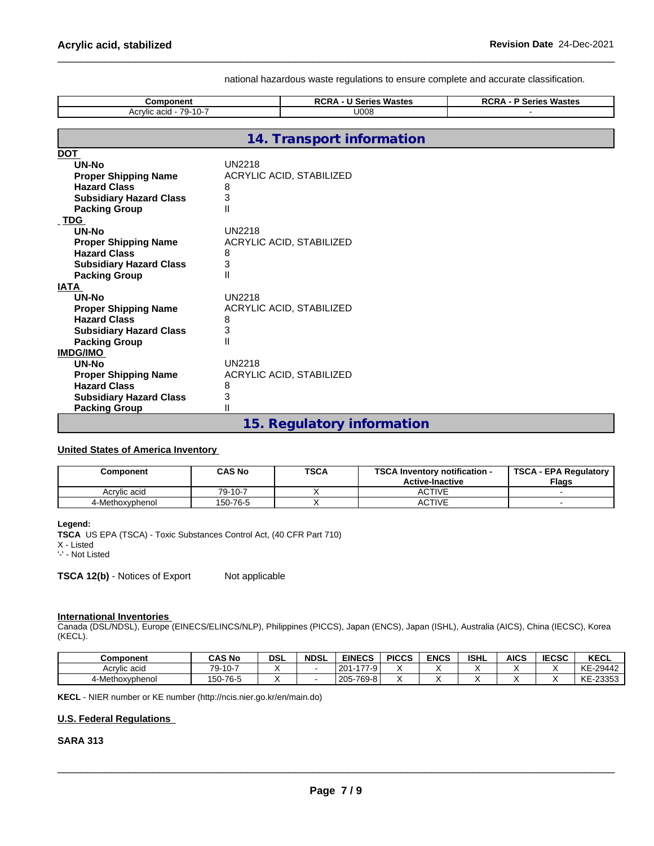#### national hazardous waste regulations to ensure complete and accurate classification.

| Component                      |               | <b>RCRA - U Series Wastes</b>   | <b>RCRA - P Series Wastes</b> |
|--------------------------------|---------------|---------------------------------|-------------------------------|
| Acrylic acid - 79-10-7         |               | U008                            |                               |
|                                |               |                                 |                               |
|                                |               | 14. Transport information       |                               |
| <b>DOT</b>                     |               |                                 |                               |
| UN-No                          | <b>UN2218</b> |                                 |                               |
| <b>Proper Shipping Name</b>    |               | ACRYLIC ACID, STABILIZED        |                               |
| <b>Hazard Class</b>            | 8             |                                 |                               |
| <b>Subsidiary Hazard Class</b> | 3             |                                 |                               |
| <b>Packing Group</b>           | $\mathsf{II}$ |                                 |                               |
| <b>TDG</b>                     |               |                                 |                               |
| UN-No                          | <b>UN2218</b> |                                 |                               |
| <b>Proper Shipping Name</b>    |               | <b>ACRYLIC ACID, STABILIZED</b> |                               |
| <b>Hazard Class</b>            | 8             |                                 |                               |
| <b>Subsidiary Hazard Class</b> | 3             |                                 |                               |
| <b>Packing Group</b>           | Ш             |                                 |                               |
| <b>IATA</b>                    |               |                                 |                               |
| UN-No                          | <b>UN2218</b> |                                 |                               |
| <b>Proper Shipping Name</b>    |               | ACRYLIC ACID, STABILIZED        |                               |
| <b>Hazard Class</b>            | 8             |                                 |                               |
| <b>Subsidiary Hazard Class</b> | 3             |                                 |                               |
| <b>Packing Group</b>           | $\mathsf{II}$ |                                 |                               |
| <b>IMDG/IMO</b>                |               |                                 |                               |
| UN-No                          | <b>UN2218</b> |                                 |                               |
| <b>Proper Shipping Name</b>    |               | ACRYLIC ACID, STABILIZED        |                               |
| <b>Hazard Class</b>            | 8             |                                 |                               |
| <b>Subsidiary Hazard Class</b> | 3             |                                 |                               |
| <b>Packing Group</b>           | Ш             |                                 |                               |
|                                |               | 15. Regulatory information      |                               |

#### **United States of America Inventory**

| Component       | <b>CAS No</b> | <b>TSCA</b> | <b>TSCAI</b><br><b>\ Inventorv notification -</b><br><b>Active-Inactive</b> | <b>TSCA - EPA Regulatory</b><br><b>Flags</b> |
|-----------------|---------------|-------------|-----------------------------------------------------------------------------|----------------------------------------------|
| Acrylic acid    | 79-10-7       |             | ACTIVE                                                                      |                                              |
| 4-Methoxyphenol | 150-76-5      |             | <b>CTIVE</b>                                                                |                                              |

#### **Legend:**

**TSCA** US EPA (TSCA) - Toxic Substances Control Act, (40 CFR Part 710) X - Listed '-' - Not Listed

**TSCA 12(b)** - Notices of Export Not applicable

#### **International Inventories**

Canada (DSL/NDSL), Europe (EINECS/ELINCS/NLP), Philippines (PICCS), Japan (ENCS), Japan (ISHL), Australia (AICS), China (IECSC), Korea (KECL).

| <b>Component</b> | <b>CAS No</b> | <b>DSL</b> | <b>NDSL</b> | <b>EINECS</b>                            | <b>PICCS</b> | <b>ENCS</b> | <b>ISHL</b> | <b>AICS</b> | <b>IECSC</b> | KECL     |
|------------------|---------------|------------|-------------|------------------------------------------|--------------|-------------|-------------|-------------|--------------|----------|
| Acrvlic acid     | $79-10-1$     |            |             | $\overline{a}$<br>20 <sup>1</sup><br>7-9 |              |             |             |             |              | KE-29442 |
| 4-Methoxyphenol  | 150-76-5      |            |             | l 205-769-8 l                            |              |             |             |             |              | KE-23353 |

**KECL** - NIER number or KE number (http://ncis.nier.go.kr/en/main.do)

#### **U.S. Federal Regulations**

# **SARA 313**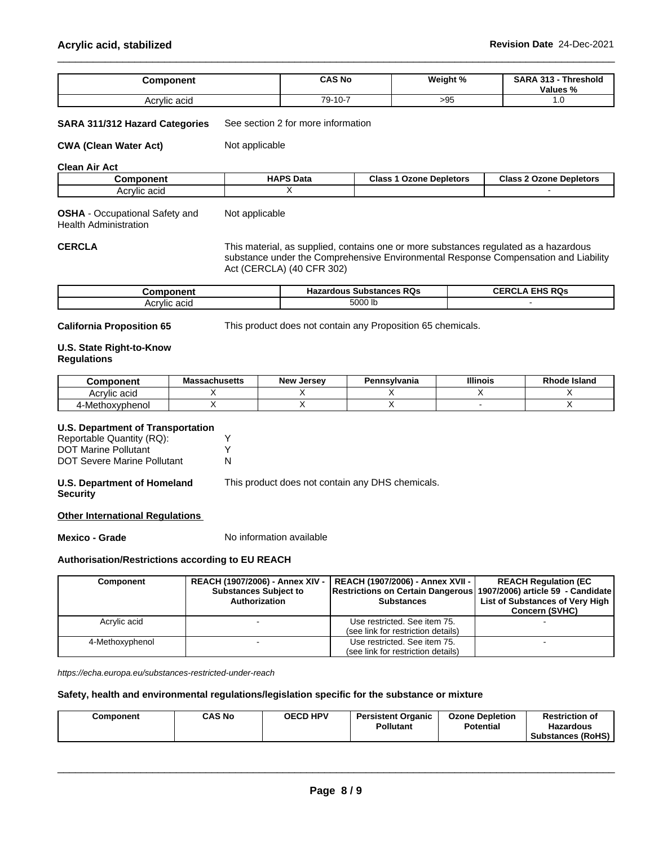| Component           | <b>CAS No</b> | Weight % | <b>SARA</b><br>-949<br>· Threshold<br>Values % |
|---------------------|---------------|----------|------------------------------------------------|
| . .<br>Acrylic acid | 79-10-7       | >95      | ن .                                            |

#### **SARA 311/312 Hazard Categories** See section 2 for more information

**CWA** (Clean Water Act) Not applicable

Not applicable

**Clean Air Act**

| Component    | <b>HAPS Data</b> | <b>Class</b><br>: Depletors<br><b>Ozone</b> | Class,<br>: 2 Ozone<br><b>Depletors</b> |
|--------------|------------------|---------------------------------------------|-----------------------------------------|
| Acrylic acid |                  |                                             |                                         |

**OSHA** - Occupational Safety and Health Administration

CERCLA This material, as supplied, contains one or more substances regulated as a hazardous substance under the Comprehensive Environmental Response Compensation and Liability Act (CERCLA) (40 CFR 302)

| -----------<br>orـ | Substances RQs ا<br><b>Hazardous</b> | FHS RQs<br>-----<br>∪ERC' |
|--------------------|--------------------------------------|---------------------------|
| <br>Acrylic acid   | 5000 lb                              |                           |

**California Proposition 65** This product does not contain any Proposition 65 chemicals.

## **U.S. State Right-to-Know Regulations**

| <b>Component</b>     | <b>Massachusetts</b> | <b>New</b><br>Jersev | Pennsvlvania | <b>Illinois</b> | Rhode Island |
|----------------------|----------------------|----------------------|--------------|-----------------|--------------|
| Acrylic acid         |                      |                      |              |                 |              |
| -Methoxvphenol<br>д. |                      |                      |              |                 |              |

#### **U.S. Department of Transportation**

| Reportable Quantity (RQ):          |  |
|------------------------------------|--|
| <b>DOT Marine Pollutant</b>        |  |
| <b>DOT Severe Marine Pollutant</b> |  |

## **U.S. Department of Homeland Security**

This product does not contain any DHS chemicals.

## **Other International Regulations**

**Mexico - Grade** No information available

# **Authorisation/Restrictions according to EU REACH**

| <b>Component</b> | REACH (1907/2006) - Annex XIV -  <br><b>Substances Subject to</b><br>Authorization | REACH (1907/2006) - Annex XVII -  <br>Restrictions on Certain Dangerous 1907/2006) article 59 - Candidate<br><b>Substances</b> | <b>REACH Regulation (EC)</b><br>List of Substances of Very High<br><b>Concern (SVHC)</b> |
|------------------|------------------------------------------------------------------------------------|--------------------------------------------------------------------------------------------------------------------------------|------------------------------------------------------------------------------------------|
| Acrylic acid     |                                                                                    | Use restricted. See item 75.<br>(see link for restriction details)                                                             |                                                                                          |
| 4-Methoxyphenol  |                                                                                    | Use restricted. See item 75.<br>(see link for restriction details)                                                             |                                                                                          |

*https://echa.europa.eu/substances-restricted-under-reach*

## **Safety, health and environmental regulations/legislation specific for the substance or mixture**

|--|